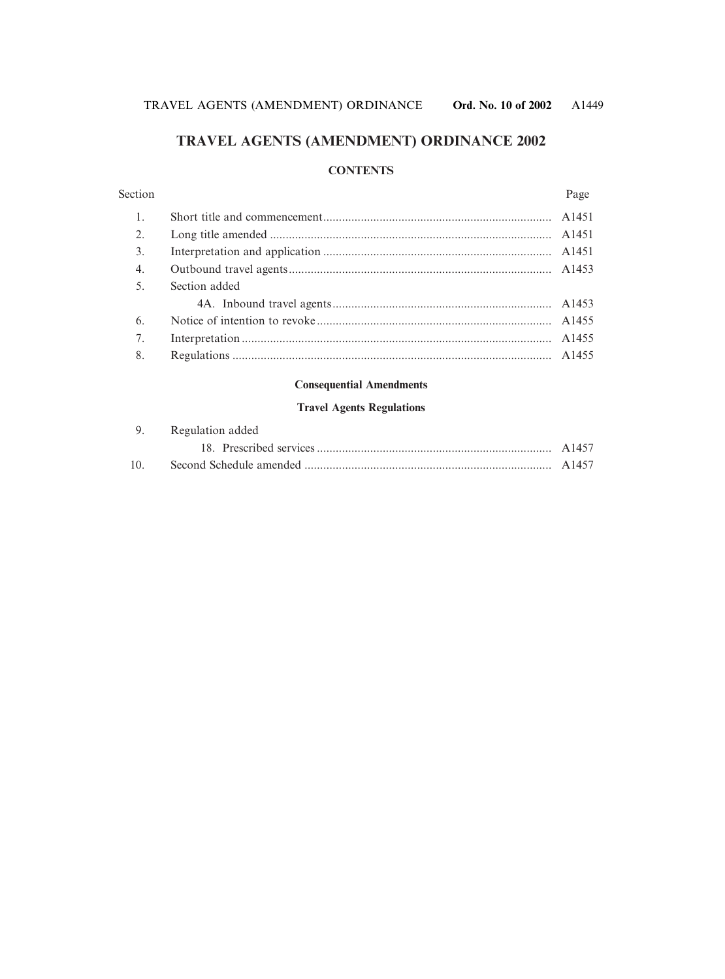## **TRAVEL AGENTS (AMENDMENT) ORDINANCE 2002**

### **CONTENTS**

| Section          |               | Page |
|------------------|---------------|------|
|                  |               |      |
| 2.               |               |      |
| 3.               |               |      |
| $\overline{4}$ . |               |      |
| 5.               | Section added |      |
|                  |               |      |
| 6.               |               |      |
| 7.               |               |      |
| 8.               |               |      |

#### **Consequential Amendments**

#### **Travel Agents Regulations**

|                 | 9. Regulation added |  |
|-----------------|---------------------|--|
|                 |                     |  |
| 10 <sub>1</sub> |                     |  |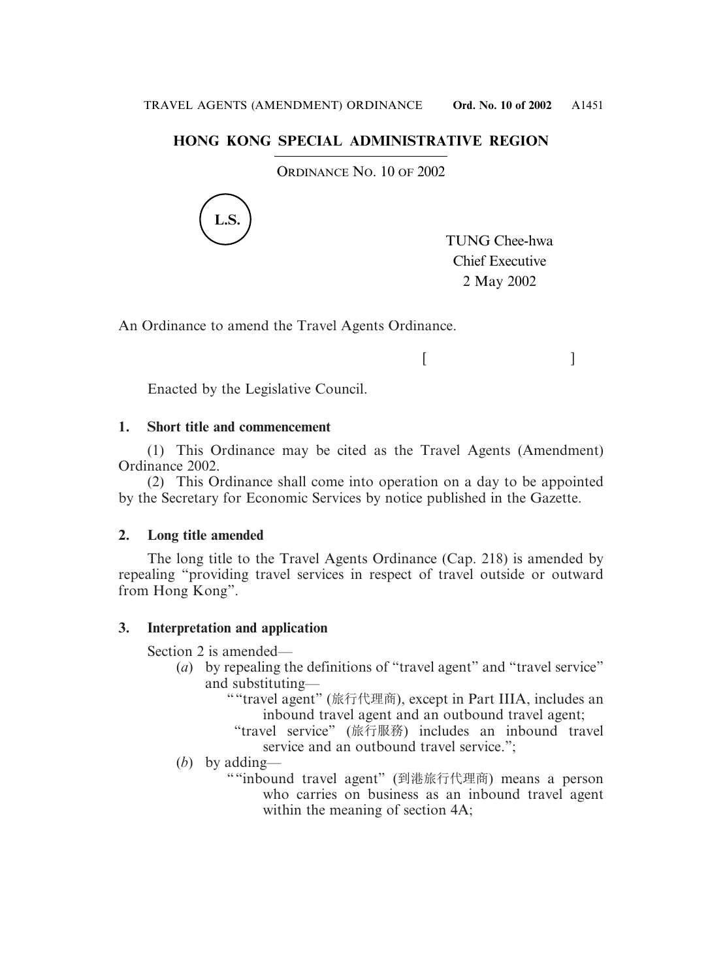## **HONG KONG SPECIAL ADMINISTRATIVE REGION**

ORDINANCE NO. 10 OF 2002



TUNG Chee-hwa Chief Executive 2 May 2002

 $[$   $]$ 

An Ordinance to amend the Travel Agents Ordinance.

Enacted by the Legislative Council.

### **1. Short title and commencement**

(1) This Ordinance may be cited as the Travel Agents (Amendment) Ordinance 2002.

(2) This Ordinance shall come into operation on a day to be appointed by the Secretary for Economic Services by notice published in the Gazette.

### **2. Long title amended**

The long title to the Travel Agents Ordinance (Cap. 218) is amended by repealing "providing travel services in respect of travel outside or outward from Hong Kong".

### **3. Interpretation and application**

Section 2 is amended—

- (*a*) by repealing the definitions of "travel agent" and "travel service" and substituting—
	- ""travel agent" (旅行代理商), except in Part IIIA, includes an inbound travel agent and an outbound travel agent;
		- "travel service" (旅行服務) includes an inbound travel service and an outbound travel service.":
- (*b*) by adding—
	- ""inbound travel agent" (到港旅行代理商) means a person who carries on business as an inbound travel agent within the meaning of section 4A;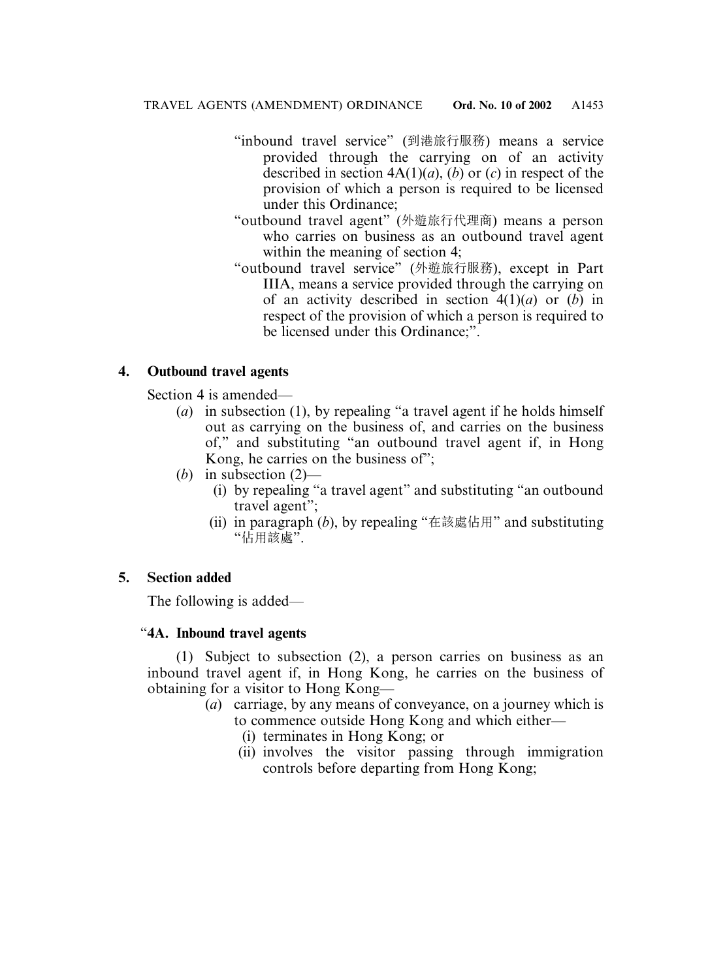- "inbound travel service" (到港旅行服務) means a service provided through the carrying on of an activity described in section  $4A(1)(a)$ ,  $(b)$  or  $(c)$  in respect of the provision of which a person is required to be licensed under this Ordinance;
- "outbound travel agent" (外遊旅行代理商) means a person who carries on business as an outbound travel agent within the meaning of section 4;
- "outbound travel service" (外遊旅行服務), except in Part IIIA, means a service provided through the carrying on of an activity described in section 4(1)(*a*) or (*b*) in respect of the provision of which a person is required to be licensed under this Ordinance;".

# **4. Outbound travel agents**

Section 4 is amended—

- (*a*) in subsection (1), by repealing "a travel agent if he holds himself out as carrying on the business of, and carries on the business of," and substituting "an outbound travel agent if, in Hong Kong, he carries on the business of";
- (*b*) in subsection (2)—
	- (i) by repealing "a travel agent" and substituting "an outbound travel agent";
	- (ii) in paragraph (*b*), by repealing "在該處佔用" and substituting "佔用該處".

## **5. Section added**

The following is added—

## "**4A. Inbound travel agents**

(1) Subject to subsection (2), a person carries on business as an inbound travel agent if, in Hong Kong, he carries on the business of obtaining for a visitor to Hong Kong—

- (*a*) carriage, by any means of conveyance, on a journey which is to commence outside Hong Kong and which either—
	- (i) terminates in Hong Kong; or
	- (ii) involves the visitor passing through immigration controls before departing from Hong Kong;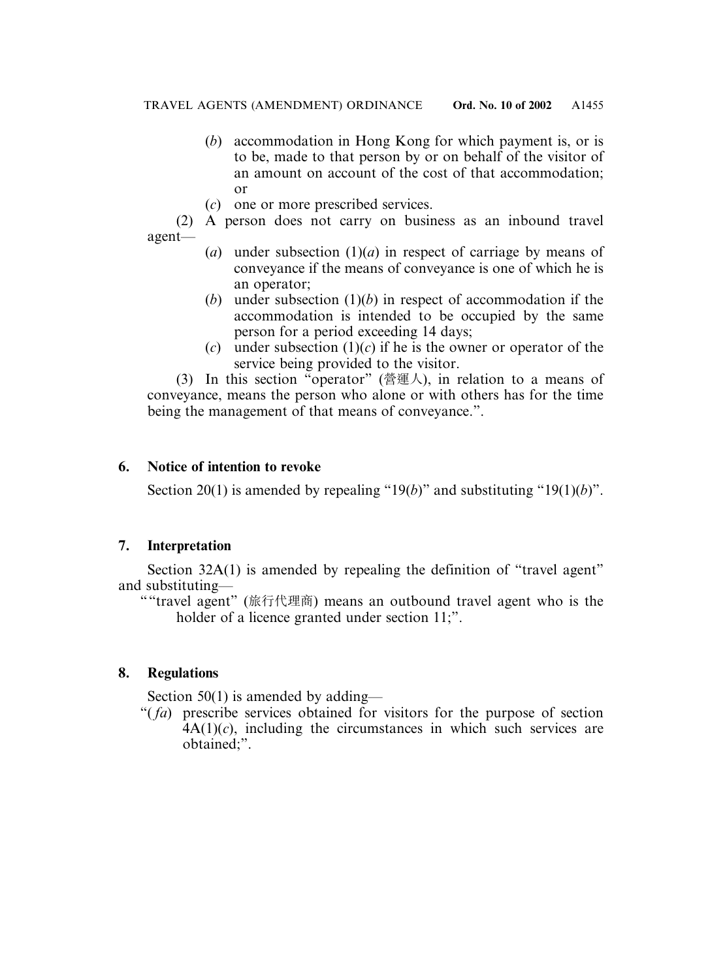- (*b*) accommodation in Hong Kong for which payment is, or is to be, made to that person by or on behalf of the visitor of an amount on account of the cost of that accommodation; or
- (*c*) one or more prescribed services.

(2) A person does not carry on business as an inbound travel agent—

- (*a*) under subsection  $(1)(a)$  in respect of carriage by means of conveyance if the means of conveyance is one of which he is an operator;
- (*b*) under subsection  $(1)(b)$  in respect of accommodation if the accommodation is intended to be occupied by the same person for a period exceeding 14 days;
- (*c*) under subsection  $(1)(c)$  if he is the owner or operator of the service being provided to the visitor.

(3) In this section "operator" (營運人), in relation to a means of conveyance, means the person who alone or with others has for the time being the management of that means of conveyance.".

## **6. Notice of intention to revoke**

Section 20(1) is amended by repealing "19(*b*)" and substituting "19(1)(*b*)".

# **7. Interpretation**

Section 32A(1) is amended by repealing the definition of "travel agent" and substituting—

""travel agent" (旅行代理商) means an outbound travel agent who is the holder of a licence granted under section 11;".

# **8. Regulations**

Section 50(1) is amended by adding—

"( *fa*) prescribe services obtained for visitors for the purpose of section  $4A(1)(c)$ , including the circumstances in which such services are obtained;".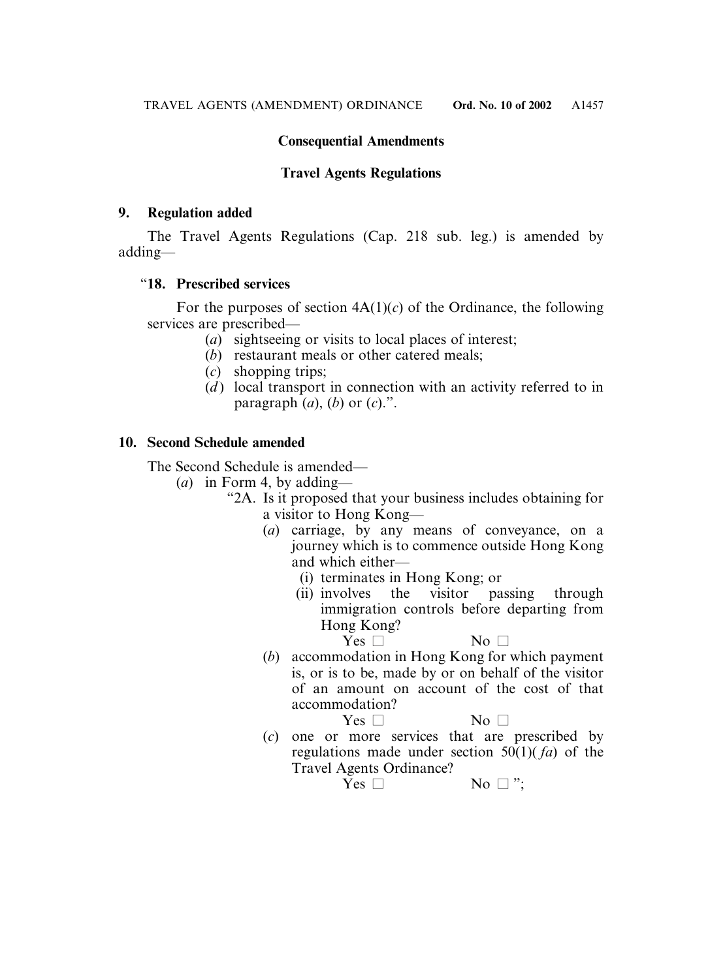## **Consequential Amendments**

## **Travel Agents Regulations**

### **9. Regulation added**

The Travel Agents Regulations (Cap. 218 sub. leg.) is amended by adding—

### "**18. Prescribed services**

For the purposes of section  $4A(1)(c)$  of the Ordinance, the following services are prescribed—

- (*a*) sightseeing or visits to local places of interest;
- (*b*) restaurant meals or other catered meals;
- (*c*) shopping trips;
- (*d*) local transport in connection with an activity referred to in paragraph  $(a)$ ,  $(b)$  or  $(c)$ .".

### **10. Second Schedule amended**

The Second Schedule is amended—

- $(a)$  in Form 4, by adding—
	- "2A. Is it proposed that your business includes obtaining for a visitor to Hong Kong—
		- (*a*) carriage, by any means of conveyance, on a journey which is to commence outside Hong Kong and which either—
			- (i) terminates in Hong Kong; or
			- (ii) involves the visitor passing through immigration controls before departing from Hong Kong?

 $Yes \Box$  No  $\Box$ 

(*b*) accommodation in Hong Kong for which payment is, or is to be, made by or on behalf of the visitor of an amount on account of the cost of that accommodation? No  $\Box$ 

$$
Yes \Box
$$

(*c*) one or more services that are prescribed by regulations made under section 50(1)( *fa*) of the Travel Agents Ordinance?

 $Yes \Box$  No  $\square$ ":